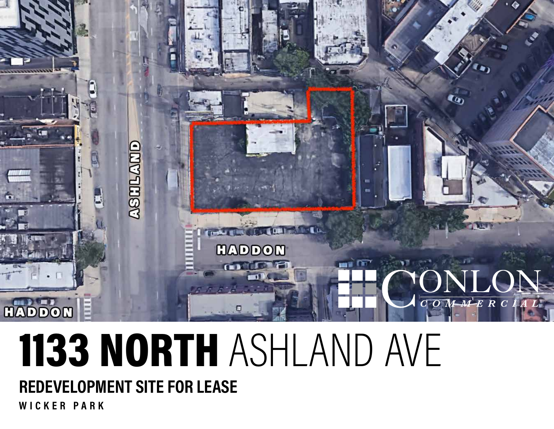

# 1133 NORTH ASHLAND AVE **REDEVELOPMENT SITE FOR LEASE**

**WICKER PARK**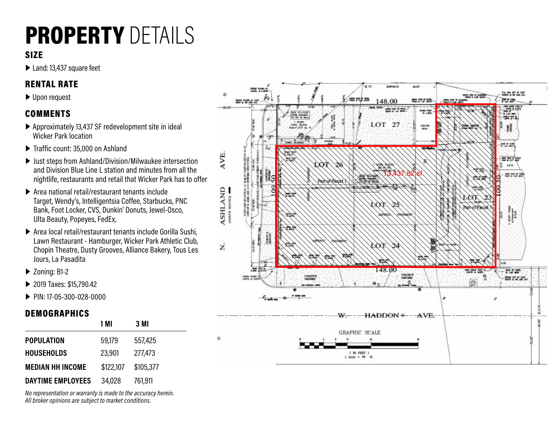## PROPERTY DETAILS

#### SIZE

▶ Land: 13,437 square feet

#### RENTAL RATE

▶ Upon request

#### COMMENTS

- ▶ Approximately 13,437 SF redevelopment site in ideal Wicker Park location
- ▶ Traffic count: 35,000 on Ashland
- ▶ Just steps from Ashland/Division/Milwaukee intersection and Division Blue Line L station and minutes from all the nightlife, restaurants and retail that Wicker Park has to offer
- ▶ Area national retail/restaurant tenants include Target, Wendy's, Intelligentsia Coffee, Starbucks, PNC Bank, Foot Locker, CVS, Dunkin' Donuts, Jewel-Osco, Ulta Beauty, Popeyes, FedEx,
- ▶ Area local retail/restaurant tenants include Gorilla Sushi, Lawn Restaurant - Hamburger, Wicker Park Athletic Club, Chopin Theatre, Dusty Grooves, Alliance Bakery, Tous Les Jours, La Pasadita
- ▶ Zoning: B1-2
- ▶ 2019 Taxes: \$15,790.42
- ▶ PIN: 17-05-300-028-0000

#### DEMOGRAPHICS

|                         | 1 M I     | 3 MI      |  |
|-------------------------|-----------|-----------|--|
| <b>POPULATION</b>       | 59,179    | 557,425   |  |
| <b>HOUSEHOLDS</b>       | 23,901    | 277,473   |  |
| <b>MEDIAN HH INCOME</b> | \$122,107 | \$105,377 |  |
| DAYTIME EMPLOYEES       | 34,028    | 761,911   |  |

*No representation or warranty is made to the accuracy herein. All broker opinions are subject to market conditions.*